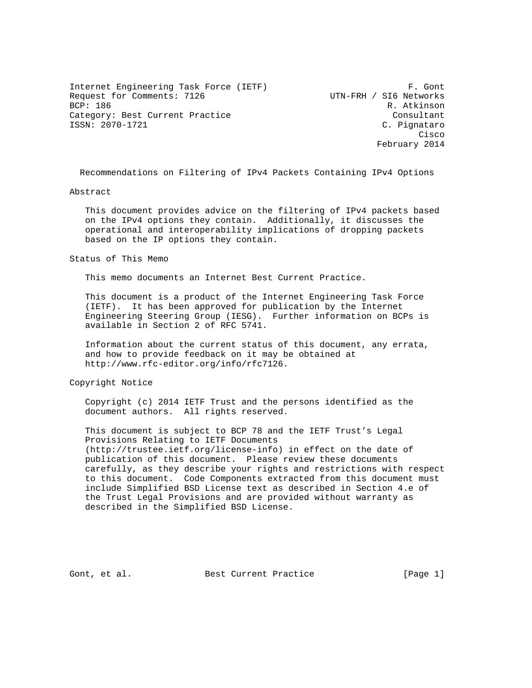Internet Engineering Task Force (IETF) F. Gont Request for Comments: 7126 UTN-FRH / SI6 Networks<br>BCP: 186 R. Atkinson Category: Best Current Practice Consultant ISSN: 2070-1721 C. Pignataro

R. Atkinson **Cisco de la contrata de la contrata de la contrata de la contrata de la contrata de la contrata de la contrat** February 2014

Recommendations on Filtering of IPv4 Packets Containing IPv4 Options

### Abstract

 This document provides advice on the filtering of IPv4 packets based on the IPv4 options they contain. Additionally, it discusses the operational and interoperability implications of dropping packets based on the IP options they contain.

Status of This Memo

This memo documents an Internet Best Current Practice.

 This document is a product of the Internet Engineering Task Force (IETF). It has been approved for publication by the Internet Engineering Steering Group (IESG). Further information on BCPs is available in Section 2 of RFC 5741.

 Information about the current status of this document, any errata, and how to provide feedback on it may be obtained at http://www.rfc-editor.org/info/rfc7126.

Copyright Notice

 Copyright (c) 2014 IETF Trust and the persons identified as the document authors. All rights reserved.

 This document is subject to BCP 78 and the IETF Trust's Legal Provisions Relating to IETF Documents (http://trustee.ietf.org/license-info) in effect on the date of publication of this document. Please review these documents carefully, as they describe your rights and restrictions with respect to this document. Code Components extracted from this document must include Simplified BSD License text as described in Section 4.e of the Trust Legal Provisions and are provided without warranty as described in the Simplified BSD License.

Gont, et al. Best Current Practice [Page 1]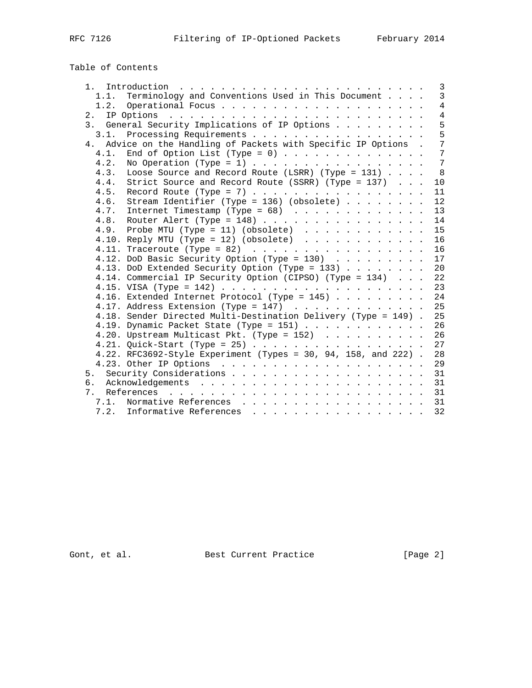Table of Contents

| $\overline{3}$<br>Terminology and Conventions Used in This Document<br>1.1.<br>$\overline{4}$<br>$\overline{4}$<br>5<br>3. General Security Implications of IP Options<br>5<br>3.1. Processing Requirements<br>7<br>4. Advice on the Handling of Packets with Specific IP Options .<br>End of Option List (Type = 0)<br>7<br>4.1.<br>4.2.<br>No Operation (Type = 1)<br>Loose Source and Record Route (LSRR) (Type = 131) $\ldots$ .<br>4.3.<br>Strict Source and Record Route (SSRR) (Type = 137)<br>4.4.<br>10<br>4.5.<br>11<br>Stream Identifier (Type = 136) (obsolete) $\ldots$<br>4.6.<br>12<br>13<br>14<br>4.9. Probe MTU (Type = 11) (obsolete) $\ldots$<br>15<br>4.10. Reply MTU (Type = 12) (obsolete) $\ldots$<br>16<br>16<br>4.12. DoD Basic Security Option (Type = 130)<br>4.13. DoD Extended Security Option (Type = 133) $\ldots$<br>20<br>4.14. Commercial IP Security Option (CIPSO) (Type = $134$ )<br>23<br>4.16. Extended Internet Protocol (Type = 145)<br>24<br>25<br>4.17. Address Extension (Type = 147) $\ldots$<br>4.18. Sender Directed Multi-Destination Delivery (Type = 149).<br>25<br>4.19. Dynamic Packet State (Type = 151) $\ldots$<br>26<br>4.20. Upstream Multicast Pkt. (Type = $152$ )<br>26<br>4.21. Quick-Start (Type = 25) |  |  |  |  |  |  |
|----------------------------------------------------------------------------------------------------------------------------------------------------------------------------------------------------------------------------------------------------------------------------------------------------------------------------------------------------------------------------------------------------------------------------------------------------------------------------------------------------------------------------------------------------------------------------------------------------------------------------------------------------------------------------------------------------------------------------------------------------------------------------------------------------------------------------------------------------------------------------------------------------------------------------------------------------------------------------------------------------------------------------------------------------------------------------------------------------------------------------------------------------------------------------------------------------------------------------------------------------------------------|--|--|--|--|--|--|
| $7\phantom{.0}$<br>8 <sup>8</sup><br>17<br>22<br>27                                                                                                                                                                                                                                                                                                                                                                                                                                                                                                                                                                                                                                                                                                                                                                                                                                                                                                                                                                                                                                                                                                                                                                                                                  |  |  |  |  |  |  |
|                                                                                                                                                                                                                                                                                                                                                                                                                                                                                                                                                                                                                                                                                                                                                                                                                                                                                                                                                                                                                                                                                                                                                                                                                                                                      |  |  |  |  |  |  |
|                                                                                                                                                                                                                                                                                                                                                                                                                                                                                                                                                                                                                                                                                                                                                                                                                                                                                                                                                                                                                                                                                                                                                                                                                                                                      |  |  |  |  |  |  |
|                                                                                                                                                                                                                                                                                                                                                                                                                                                                                                                                                                                                                                                                                                                                                                                                                                                                                                                                                                                                                                                                                                                                                                                                                                                                      |  |  |  |  |  |  |
|                                                                                                                                                                                                                                                                                                                                                                                                                                                                                                                                                                                                                                                                                                                                                                                                                                                                                                                                                                                                                                                                                                                                                                                                                                                                      |  |  |  |  |  |  |
|                                                                                                                                                                                                                                                                                                                                                                                                                                                                                                                                                                                                                                                                                                                                                                                                                                                                                                                                                                                                                                                                                                                                                                                                                                                                      |  |  |  |  |  |  |
|                                                                                                                                                                                                                                                                                                                                                                                                                                                                                                                                                                                                                                                                                                                                                                                                                                                                                                                                                                                                                                                                                                                                                                                                                                                                      |  |  |  |  |  |  |
|                                                                                                                                                                                                                                                                                                                                                                                                                                                                                                                                                                                                                                                                                                                                                                                                                                                                                                                                                                                                                                                                                                                                                                                                                                                                      |  |  |  |  |  |  |
|                                                                                                                                                                                                                                                                                                                                                                                                                                                                                                                                                                                                                                                                                                                                                                                                                                                                                                                                                                                                                                                                                                                                                                                                                                                                      |  |  |  |  |  |  |
|                                                                                                                                                                                                                                                                                                                                                                                                                                                                                                                                                                                                                                                                                                                                                                                                                                                                                                                                                                                                                                                                                                                                                                                                                                                                      |  |  |  |  |  |  |
|                                                                                                                                                                                                                                                                                                                                                                                                                                                                                                                                                                                                                                                                                                                                                                                                                                                                                                                                                                                                                                                                                                                                                                                                                                                                      |  |  |  |  |  |  |
|                                                                                                                                                                                                                                                                                                                                                                                                                                                                                                                                                                                                                                                                                                                                                                                                                                                                                                                                                                                                                                                                                                                                                                                                                                                                      |  |  |  |  |  |  |
|                                                                                                                                                                                                                                                                                                                                                                                                                                                                                                                                                                                                                                                                                                                                                                                                                                                                                                                                                                                                                                                                                                                                                                                                                                                                      |  |  |  |  |  |  |
|                                                                                                                                                                                                                                                                                                                                                                                                                                                                                                                                                                                                                                                                                                                                                                                                                                                                                                                                                                                                                                                                                                                                                                                                                                                                      |  |  |  |  |  |  |
|                                                                                                                                                                                                                                                                                                                                                                                                                                                                                                                                                                                                                                                                                                                                                                                                                                                                                                                                                                                                                                                                                                                                                                                                                                                                      |  |  |  |  |  |  |
|                                                                                                                                                                                                                                                                                                                                                                                                                                                                                                                                                                                                                                                                                                                                                                                                                                                                                                                                                                                                                                                                                                                                                                                                                                                                      |  |  |  |  |  |  |
|                                                                                                                                                                                                                                                                                                                                                                                                                                                                                                                                                                                                                                                                                                                                                                                                                                                                                                                                                                                                                                                                                                                                                                                                                                                                      |  |  |  |  |  |  |
|                                                                                                                                                                                                                                                                                                                                                                                                                                                                                                                                                                                                                                                                                                                                                                                                                                                                                                                                                                                                                                                                                                                                                                                                                                                                      |  |  |  |  |  |  |
|                                                                                                                                                                                                                                                                                                                                                                                                                                                                                                                                                                                                                                                                                                                                                                                                                                                                                                                                                                                                                                                                                                                                                                                                                                                                      |  |  |  |  |  |  |
|                                                                                                                                                                                                                                                                                                                                                                                                                                                                                                                                                                                                                                                                                                                                                                                                                                                                                                                                                                                                                                                                                                                                                                                                                                                                      |  |  |  |  |  |  |
|                                                                                                                                                                                                                                                                                                                                                                                                                                                                                                                                                                                                                                                                                                                                                                                                                                                                                                                                                                                                                                                                                                                                                                                                                                                                      |  |  |  |  |  |  |
|                                                                                                                                                                                                                                                                                                                                                                                                                                                                                                                                                                                                                                                                                                                                                                                                                                                                                                                                                                                                                                                                                                                                                                                                                                                                      |  |  |  |  |  |  |
|                                                                                                                                                                                                                                                                                                                                                                                                                                                                                                                                                                                                                                                                                                                                                                                                                                                                                                                                                                                                                                                                                                                                                                                                                                                                      |  |  |  |  |  |  |
|                                                                                                                                                                                                                                                                                                                                                                                                                                                                                                                                                                                                                                                                                                                                                                                                                                                                                                                                                                                                                                                                                                                                                                                                                                                                      |  |  |  |  |  |  |
|                                                                                                                                                                                                                                                                                                                                                                                                                                                                                                                                                                                                                                                                                                                                                                                                                                                                                                                                                                                                                                                                                                                                                                                                                                                                      |  |  |  |  |  |  |
|                                                                                                                                                                                                                                                                                                                                                                                                                                                                                                                                                                                                                                                                                                                                                                                                                                                                                                                                                                                                                                                                                                                                                                                                                                                                      |  |  |  |  |  |  |
|                                                                                                                                                                                                                                                                                                                                                                                                                                                                                                                                                                                                                                                                                                                                                                                                                                                                                                                                                                                                                                                                                                                                                                                                                                                                      |  |  |  |  |  |  |
| 4.22. RFC3692-Style Experiment (Types = 30, 94, 158, and 222).<br>28                                                                                                                                                                                                                                                                                                                                                                                                                                                                                                                                                                                                                                                                                                                                                                                                                                                                                                                                                                                                                                                                                                                                                                                                 |  |  |  |  |  |  |
| 29                                                                                                                                                                                                                                                                                                                                                                                                                                                                                                                                                                                                                                                                                                                                                                                                                                                                                                                                                                                                                                                                                                                                                                                                                                                                   |  |  |  |  |  |  |
| 31                                                                                                                                                                                                                                                                                                                                                                                                                                                                                                                                                                                                                                                                                                                                                                                                                                                                                                                                                                                                                                                                                                                                                                                                                                                                   |  |  |  |  |  |  |
|                                                                                                                                                                                                                                                                                                                                                                                                                                                                                                                                                                                                                                                                                                                                                                                                                                                                                                                                                                                                                                                                                                                                                                                                                                                                      |  |  |  |  |  |  |
|                                                                                                                                                                                                                                                                                                                                                                                                                                                                                                                                                                                                                                                                                                                                                                                                                                                                                                                                                                                                                                                                                                                                                                                                                                                                      |  |  |  |  |  |  |
| 31<br>7.1. Normative References 31                                                                                                                                                                                                                                                                                                                                                                                                                                                                                                                                                                                                                                                                                                                                                                                                                                                                                                                                                                                                                                                                                                                                                                                                                                   |  |  |  |  |  |  |
| 7.2. Informative References<br>32                                                                                                                                                                                                                                                                                                                                                                                                                                                                                                                                                                                                                                                                                                                                                                                                                                                                                                                                                                                                                                                                                                                                                                                                                                    |  |  |  |  |  |  |

Gont, et al. Best Current Practice [Page 2]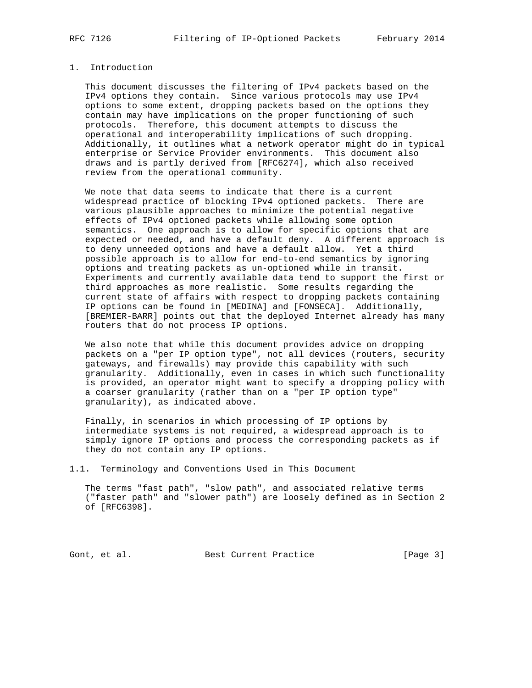## 1. Introduction

 This document discusses the filtering of IPv4 packets based on the IPv4 options they contain. Since various protocols may use IPv4 options to some extent, dropping packets based on the options they contain may have implications on the proper functioning of such protocols. Therefore, this document attempts to discuss the operational and interoperability implications of such dropping. Additionally, it outlines what a network operator might do in typical enterprise or Service Provider environments. This document also draws and is partly derived from [RFC6274], which also received review from the operational community.

 We note that data seems to indicate that there is a current widespread practice of blocking IPv4 optioned packets. There are various plausible approaches to minimize the potential negative effects of IPv4 optioned packets while allowing some option semantics. One approach is to allow for specific options that are expected or needed, and have a default deny. A different approach is to deny unneeded options and have a default allow. Yet a third possible approach is to allow for end-to-end semantics by ignoring options and treating packets as un-optioned while in transit. Experiments and currently available data tend to support the first or third approaches as more realistic. Some results regarding the current state of affairs with respect to dropping packets containing IP options can be found in [MEDINA] and [FONSECA]. Additionally, [BREMIER-BARR] points out that the deployed Internet already has many routers that do not process IP options.

 We also note that while this document provides advice on dropping packets on a "per IP option type", not all devices (routers, security gateways, and firewalls) may provide this capability with such granularity. Additionally, even in cases in which such functionality is provided, an operator might want to specify a dropping policy with a coarser granularity (rather than on a "per IP option type" granularity), as indicated above.

 Finally, in scenarios in which processing of IP options by intermediate systems is not required, a widespread approach is to simply ignore IP options and process the corresponding packets as if they do not contain any IP options.

1.1. Terminology and Conventions Used in This Document

 The terms "fast path", "slow path", and associated relative terms ("faster path" and "slower path") are loosely defined as in Section 2 of [RFC6398].

Gont, et al. Best Current Practice [Page 3]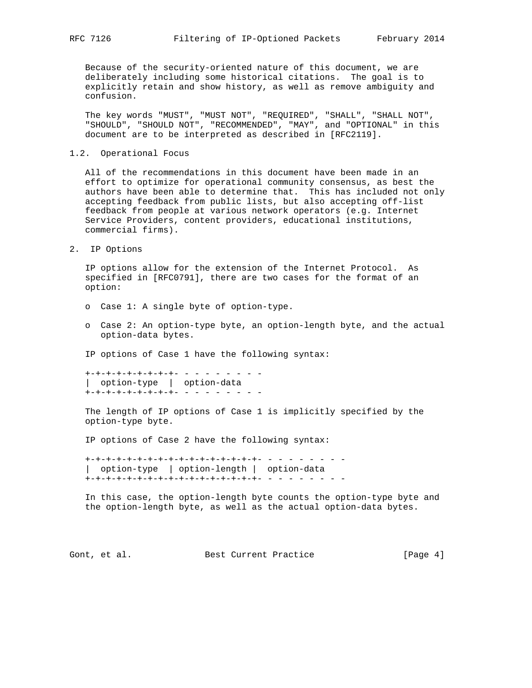Because of the security-oriented nature of this document, we are deliberately including some historical citations. The goal is to explicitly retain and show history, as well as remove ambiguity and confusion.

 The key words "MUST", "MUST NOT", "REQUIRED", "SHALL", "SHALL NOT", "SHOULD", "SHOULD NOT", "RECOMMENDED", "MAY", and "OPTIONAL" in this document are to be interpreted as described in [RFC2119].

1.2. Operational Focus

 All of the recommendations in this document have been made in an effort to optimize for operational community consensus, as best the authors have been able to determine that. This has included not only accepting feedback from public lists, but also accepting off-list feedback from people at various network operators (e.g. Internet Service Providers, content providers, educational institutions, commercial firms).

2. IP Options

 IP options allow for the extension of the Internet Protocol. As specified in [RFC0791], there are two cases for the format of an option:

- o Case 1: A single byte of option-type.
- o Case 2: An option-type byte, an option-length byte, and the actual option-data bytes.

IP options of Case 1 have the following syntax:

 +-+-+-+-+-+-+-+-+- - - - - - - - - | option-type | option-data +-+-+-+-+-+-+-+-+- - - - - - - - -

 The length of IP options of Case 1 is implicitly specified by the option-type byte.

IP options of Case 2 have the following syntax:

 +-+-+-+-+-+-+-+-+-+-+-+-+-+-+-+-+- - - - - - - - - | option-type | option-length | option-data +-+-+-+-+-+-+-+-+-+-+-+-+-+-+-+-+- - - - - - - - -

 In this case, the option-length byte counts the option-type byte and the option-length byte, as well as the actual option-data bytes.

Gont, et al. Best Current Practice [Page 4]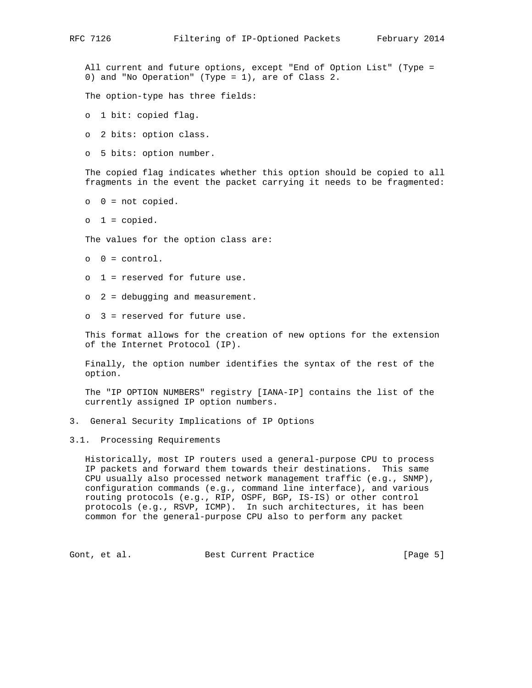All current and future options, except "End of Option List" (Type = 0) and "No Operation" (Type = 1), are of Class 2.

The option-type has three fields:

- o 1 bit: copied flag.
- o 2 bits: option class.
- o 5 bits: option number.

 The copied flag indicates whether this option should be copied to all fragments in the event the packet carrying it needs to be fragmented:

- $o \quad 0 = not copied.$
- $o \quad 1 = copied.$

The values for the option class are:

- $0 = \text{control}$ .
- o 1 = reserved for future use.
- o 2 = debugging and measurement.
- o 3 = reserved for future use.

 This format allows for the creation of new options for the extension of the Internet Protocol (IP).

 Finally, the option number identifies the syntax of the rest of the option.

 The "IP OPTION NUMBERS" registry [IANA-IP] contains the list of the currently assigned IP option numbers.

- 3. General Security Implications of IP Options
- 3.1. Processing Requirements

 Historically, most IP routers used a general-purpose CPU to process IP packets and forward them towards their destinations. This same CPU usually also processed network management traffic (e.g., SNMP), configuration commands (e.g., command line interface), and various routing protocols (e.g., RIP, OSPF, BGP, IS-IS) or other control protocols (e.g., RSVP, ICMP). In such architectures, it has been common for the general-purpose CPU also to perform any packet

Gont, et al. Best Current Practice [Page 5]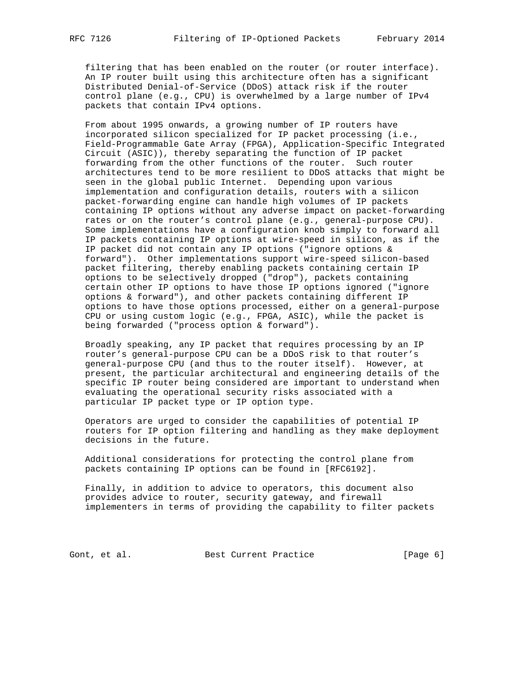filtering that has been enabled on the router (or router interface). An IP router built using this architecture often has a significant Distributed Denial-of-Service (DDoS) attack risk if the router control plane (e.g., CPU) is overwhelmed by a large number of IPv4 packets that contain IPv4 options.

 From about 1995 onwards, a growing number of IP routers have incorporated silicon specialized for IP packet processing (i.e., Field-Programmable Gate Array (FPGA), Application-Specific Integrated Circuit (ASIC)), thereby separating the function of IP packet forwarding from the other functions of the router. Such router architectures tend to be more resilient to DDoS attacks that might be seen in the global public Internet. Depending upon various implementation and configuration details, routers with a silicon packet-forwarding engine can handle high volumes of IP packets containing IP options without any adverse impact on packet-forwarding rates or on the router's control plane (e.g., general-purpose CPU). Some implementations have a configuration knob simply to forward all IP packets containing IP options at wire-speed in silicon, as if the IP packet did not contain any IP options ("ignore options & forward"). Other implementations support wire-speed silicon-based packet filtering, thereby enabling packets containing certain IP options to be selectively dropped ("drop"), packets containing certain other IP options to have those IP options ignored ("ignore options & forward"), and other packets containing different IP options to have those options processed, either on a general-purpose CPU or using custom logic (e.g., FPGA, ASIC), while the packet is being forwarded ("process option & forward").

 Broadly speaking, any IP packet that requires processing by an IP router's general-purpose CPU can be a DDoS risk to that router's general-purpose CPU (and thus to the router itself). However, at present, the particular architectural and engineering details of the specific IP router being considered are important to understand when evaluating the operational security risks associated with a particular IP packet type or IP option type.

 Operators are urged to consider the capabilities of potential IP routers for IP option filtering and handling as they make deployment decisions in the future.

 Additional considerations for protecting the control plane from packets containing IP options can be found in [RFC6192].

 Finally, in addition to advice to operators, this document also provides advice to router, security gateway, and firewall implementers in terms of providing the capability to filter packets

Gont, et al. Best Current Practice [Page 6]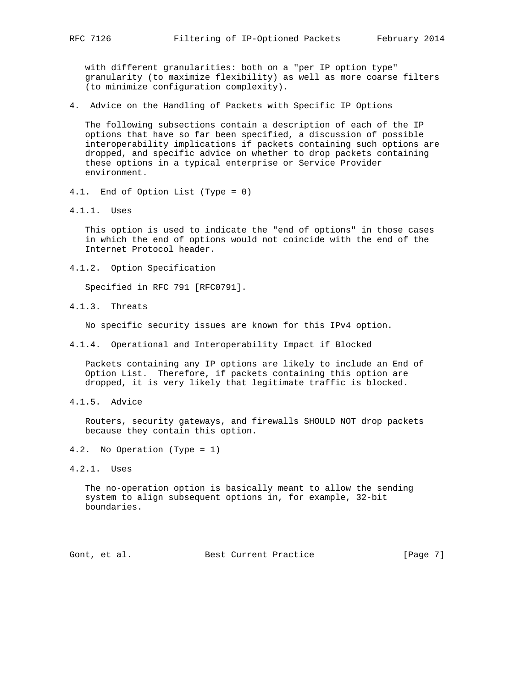with different granularities: both on a "per IP option type" granularity (to maximize flexibility) as well as more coarse filters (to minimize configuration complexity).

4. Advice on the Handling of Packets with Specific IP Options

 The following subsections contain a description of each of the IP options that have so far been specified, a discussion of possible interoperability implications if packets containing such options are dropped, and specific advice on whether to drop packets containing these options in a typical enterprise or Service Provider environment.

- 4.1. End of Option List (Type = 0)
- 4.1.1. Uses

 This option is used to indicate the "end of options" in those cases in which the end of options would not coincide with the end of the Internet Protocol header.

4.1.2. Option Specification

Specified in RFC 791 [RFC0791].

4.1.3. Threats

No specific security issues are known for this IPv4 option.

4.1.4. Operational and Interoperability Impact if Blocked

 Packets containing any IP options are likely to include an End of Option List. Therefore, if packets containing this option are dropped, it is very likely that legitimate traffic is blocked.

4.1.5. Advice

 Routers, security gateways, and firewalls SHOULD NOT drop packets because they contain this option.

- 4.2. No Operation (Type = 1)
- 4.2.1. Uses

 The no-operation option is basically meant to allow the sending system to align subsequent options in, for example, 32-bit boundaries.

Gont, et al. Best Current Practice [Page 7]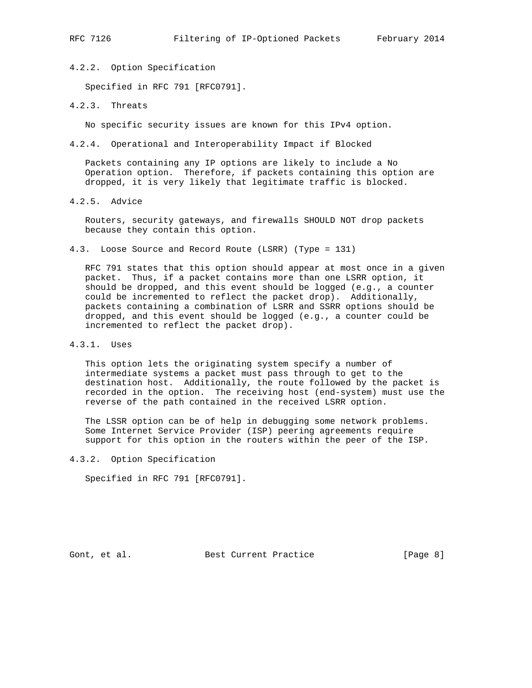4.2.2. Option Specification

Specified in RFC 791 [RFC0791].

4.2.3. Threats

No specific security issues are known for this IPv4 option.

4.2.4. Operational and Interoperability Impact if Blocked

 Packets containing any IP options are likely to include a No Operation option. Therefore, if packets containing this option are dropped, it is very likely that legitimate traffic is blocked.

4.2.5. Advice

 Routers, security gateways, and firewalls SHOULD NOT drop packets because they contain this option.

4.3. Loose Source and Record Route (LSRR) (Type = 131)

 RFC 791 states that this option should appear at most once in a given packet. Thus, if a packet contains more than one LSRR option, it should be dropped, and this event should be logged (e.g., a counter could be incremented to reflect the packet drop). Additionally, packets containing a combination of LSRR and SSRR options should be dropped, and this event should be logged (e.g., a counter could be incremented to reflect the packet drop).

4.3.1. Uses

 This option lets the originating system specify a number of intermediate systems a packet must pass through to get to the destination host. Additionally, the route followed by the packet is recorded in the option. The receiving host (end-system) must use the reverse of the path contained in the received LSRR option.

 The LSSR option can be of help in debugging some network problems. Some Internet Service Provider (ISP) peering agreements require support for this option in the routers within the peer of the ISP.

4.3.2. Option Specification

Specified in RFC 791 [RFC0791].

Gont, et al. Best Current Practice [Page 8]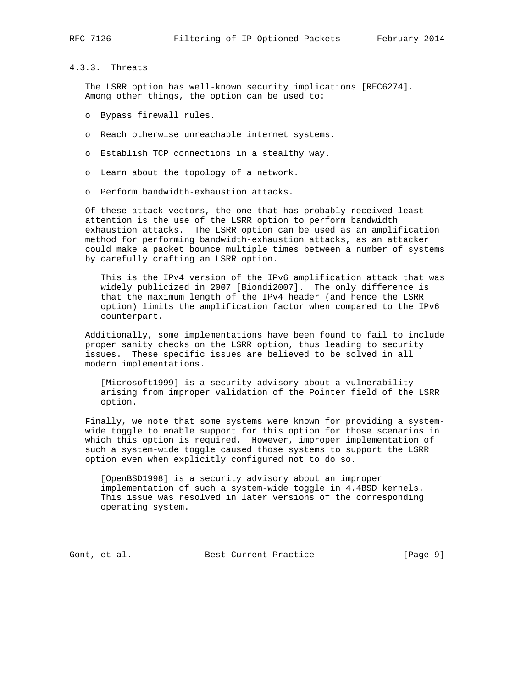## 4.3.3. Threats

 The LSRR option has well-known security implications [RFC6274]. Among other things, the option can be used to:

- o Bypass firewall rules.
- o Reach otherwise unreachable internet systems.
- o Establish TCP connections in a stealthy way.
- o Learn about the topology of a network.
- o Perform bandwidth-exhaustion attacks.

 Of these attack vectors, the one that has probably received least attention is the use of the LSRR option to perform bandwidth exhaustion attacks. The LSRR option can be used as an amplification method for performing bandwidth-exhaustion attacks, as an attacker could make a packet bounce multiple times between a number of systems by carefully crafting an LSRR option.

 This is the IPv4 version of the IPv6 amplification attack that was widely publicized in 2007 [Biondi2007]. The only difference is that the maximum length of the IPv4 header (and hence the LSRR option) limits the amplification factor when compared to the IPv6 counterpart.

 Additionally, some implementations have been found to fail to include proper sanity checks on the LSRR option, thus leading to security issues. These specific issues are believed to be solved in all modern implementations.

 [Microsoft1999] is a security advisory about a vulnerability arising from improper validation of the Pointer field of the LSRR option.

 Finally, we note that some systems were known for providing a system wide toggle to enable support for this option for those scenarios in which this option is required. However, improper implementation of such a system-wide toggle caused those systems to support the LSRR option even when explicitly configured not to do so.

 [OpenBSD1998] is a security advisory about an improper implementation of such a system-wide toggle in 4.4BSD kernels. This issue was resolved in later versions of the corresponding operating system.

Gont, et al. Best Current Practice [Page 9]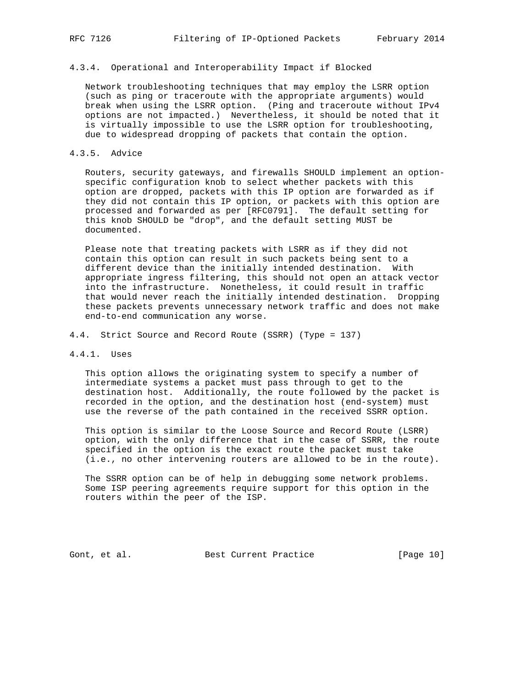# 4.3.4. Operational and Interoperability Impact if Blocked

 Network troubleshooting techniques that may employ the LSRR option (such as ping or traceroute with the appropriate arguments) would break when using the LSRR option. (Ping and traceroute without IPv4 options are not impacted.) Nevertheless, it should be noted that it is virtually impossible to use the LSRR option for troubleshooting, due to widespread dropping of packets that contain the option.

### 4.3.5. Advice

 Routers, security gateways, and firewalls SHOULD implement an option specific configuration knob to select whether packets with this option are dropped, packets with this IP option are forwarded as if they did not contain this IP option, or packets with this option are processed and forwarded as per [RFC0791]. The default setting for this knob SHOULD be "drop", and the default setting MUST be documented.

 Please note that treating packets with LSRR as if they did not contain this option can result in such packets being sent to a different device than the initially intended destination. With appropriate ingress filtering, this should not open an attack vector into the infrastructure. Nonetheless, it could result in traffic that would never reach the initially intended destination. Dropping these packets prevents unnecessary network traffic and does not make end-to-end communication any worse.

4.4. Strict Source and Record Route (SSRR) (Type = 137)

### 4.4.1. Uses

 This option allows the originating system to specify a number of intermediate systems a packet must pass through to get to the destination host. Additionally, the route followed by the packet is recorded in the option, and the destination host (end-system) must use the reverse of the path contained in the received SSRR option.

 This option is similar to the Loose Source and Record Route (LSRR) option, with the only difference that in the case of SSRR, the route specified in the option is the exact route the packet must take (i.e., no other intervening routers are allowed to be in the route).

 The SSRR option can be of help in debugging some network problems. Some ISP peering agreements require support for this option in the routers within the peer of the ISP.

Gont, et al. Best Current Practice [Page 10]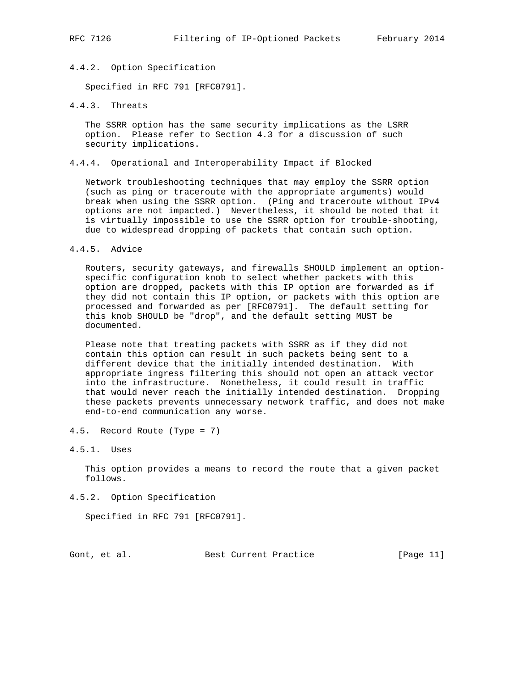### 4.4.2. Option Specification

Specified in RFC 791 [RFC0791].

## 4.4.3. Threats

 The SSRR option has the same security implications as the LSRR option. Please refer to Section 4.3 for a discussion of such security implications.

### 4.4.4. Operational and Interoperability Impact if Blocked

 Network troubleshooting techniques that may employ the SSRR option (such as ping or traceroute with the appropriate arguments) would break when using the SSRR option. (Ping and traceroute without IPv4 options are not impacted.) Nevertheless, it should be noted that it is virtually impossible to use the SSRR option for trouble-shooting, due to widespread dropping of packets that contain such option.

### 4.4.5. Advice

 Routers, security gateways, and firewalls SHOULD implement an option specific configuration knob to select whether packets with this option are dropped, packets with this IP option are forwarded as if they did not contain this IP option, or packets with this option are processed and forwarded as per [RFC0791]. The default setting for this knob SHOULD be "drop", and the default setting MUST be documented.

 Please note that treating packets with SSRR as if they did not contain this option can result in such packets being sent to a different device that the initially intended destination. With appropriate ingress filtering this should not open an attack vector into the infrastructure. Nonetheless, it could result in traffic that would never reach the initially intended destination. Dropping these packets prevents unnecessary network traffic, and does not make end-to-end communication any worse.

- 4.5. Record Route (Type = 7)
- 4.5.1. Uses

 This option provides a means to record the route that a given packet follows.

4.5.2. Option Specification

Specified in RFC 791 [RFC0791].

Gont, et al. Best Current Practice [Page 11]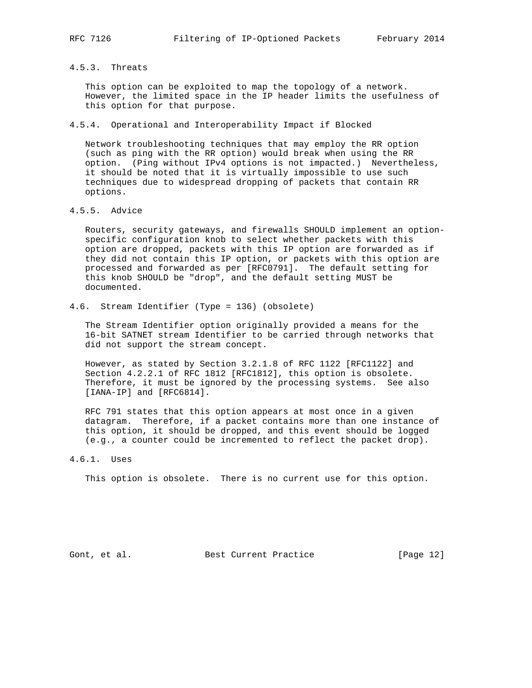## 4.5.3. Threats

 This option can be exploited to map the topology of a network. However, the limited space in the IP header limits the usefulness of this option for that purpose.

4.5.4. Operational and Interoperability Impact if Blocked

 Network troubleshooting techniques that may employ the RR option (such as ping with the RR option) would break when using the RR option. (Ping without IPv4 options is not impacted.) Nevertheless, it should be noted that it is virtually impossible to use such techniques due to widespread dropping of packets that contain RR options.

## 4.5.5. Advice

 Routers, security gateways, and firewalls SHOULD implement an option specific configuration knob to select whether packets with this option are dropped, packets with this IP option are forwarded as if they did not contain this IP option, or packets with this option are processed and forwarded as per [RFC0791]. The default setting for this knob SHOULD be "drop", and the default setting MUST be documented.

# 4.6. Stream Identifier (Type = 136) (obsolete)

 The Stream Identifier option originally provided a means for the 16-bit SATNET stream Identifier to be carried through networks that did not support the stream concept.

 However, as stated by Section 3.2.1.8 of RFC 1122 [RFC1122] and Section 4.2.2.1 of RFC 1812 [RFC1812], this option is obsolete. Therefore, it must be ignored by the processing systems. See also [IANA-IP] and [RFC6814].

 RFC 791 states that this option appears at most once in a given datagram. Therefore, if a packet contains more than one instance of this option, it should be dropped, and this event should be logged (e.g., a counter could be incremented to reflect the packet drop).

### 4.6.1. Uses

This option is obsolete. There is no current use for this option.

Gont, et al. Best Current Practice [Page 12]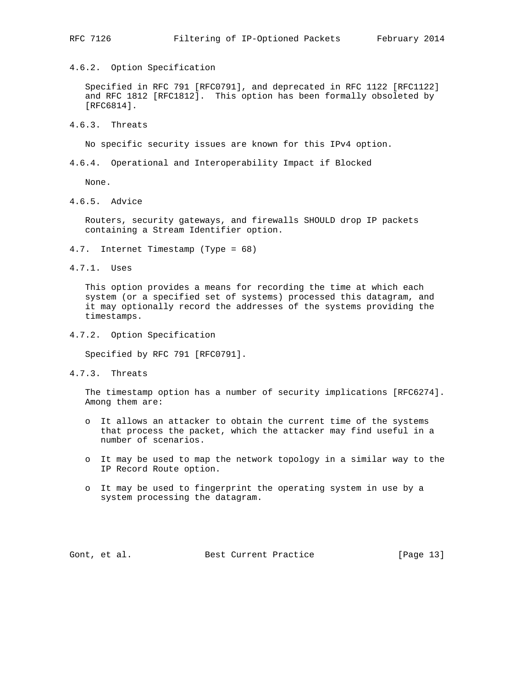4.6.2. Option Specification

 Specified in RFC 791 [RFC0791], and deprecated in RFC 1122 [RFC1122] and RFC 1812 [RFC1812]. This option has been formally obsoleted by [RFC6814].

4.6.3. Threats

No specific security issues are known for this IPv4 option.

4.6.4. Operational and Interoperability Impact if Blocked

None.

4.6.5. Advice

 Routers, security gateways, and firewalls SHOULD drop IP packets containing a Stream Identifier option.

- 4.7. Internet Timestamp (Type = 68)
- 4.7.1. Uses

 This option provides a means for recording the time at which each system (or a specified set of systems) processed this datagram, and it may optionally record the addresses of the systems providing the timestamps.

4.7.2. Option Specification

Specified by RFC 791 [RFC0791].

4.7.3. Threats

 The timestamp option has a number of security implications [RFC6274]. Among them are:

- o It allows an attacker to obtain the current time of the systems that process the packet, which the attacker may find useful in a number of scenarios.
- o It may be used to map the network topology in a similar way to the IP Record Route option.
- o It may be used to fingerprint the operating system in use by a system processing the datagram.

Gont, et al. Best Current Practice [Page 13]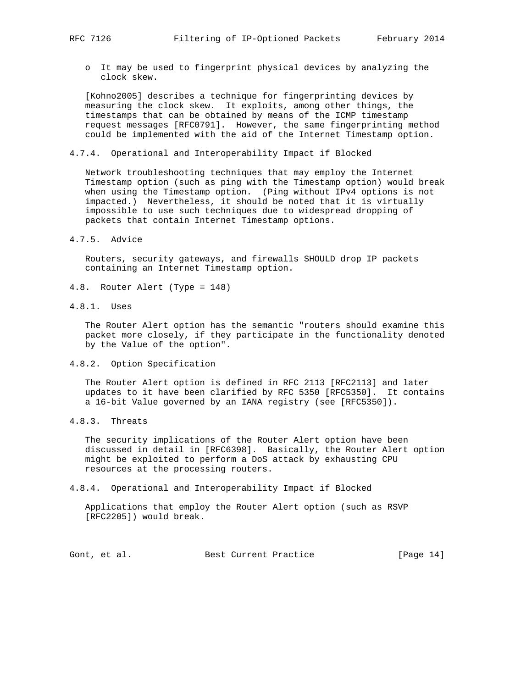o It may be used to fingerprint physical devices by analyzing the clock skew.

 [Kohno2005] describes a technique for fingerprinting devices by measuring the clock skew. It exploits, among other things, the timestamps that can be obtained by means of the ICMP timestamp request messages [RFC0791]. However, the same fingerprinting method could be implemented with the aid of the Internet Timestamp option.

4.7.4. Operational and Interoperability Impact if Blocked

 Network troubleshooting techniques that may employ the Internet Timestamp option (such as ping with the Timestamp option) would break when using the Timestamp option. (Ping without IPv4 options is not impacted.) Nevertheless, it should be noted that it is virtually impossible to use such techniques due to widespread dropping of packets that contain Internet Timestamp options.

4.7.5. Advice

 Routers, security gateways, and firewalls SHOULD drop IP packets containing an Internet Timestamp option.

- 4.8. Router Alert (Type = 148)
- 4.8.1. Uses

 The Router Alert option has the semantic "routers should examine this packet more closely, if they participate in the functionality denoted by the Value of the option".

4.8.2. Option Specification

 The Router Alert option is defined in RFC 2113 [RFC2113] and later updates to it have been clarified by RFC 5350 [RFC5350]. It contains a 16-bit Value governed by an IANA registry (see [RFC5350]).

4.8.3. Threats

 The security implications of the Router Alert option have been discussed in detail in [RFC6398]. Basically, the Router Alert option might be exploited to perform a DoS attack by exhausting CPU resources at the processing routers.

4.8.4. Operational and Interoperability Impact if Blocked

 Applications that employ the Router Alert option (such as RSVP [RFC2205]) would break.

Gont, et al. Best Current Practice [Page 14]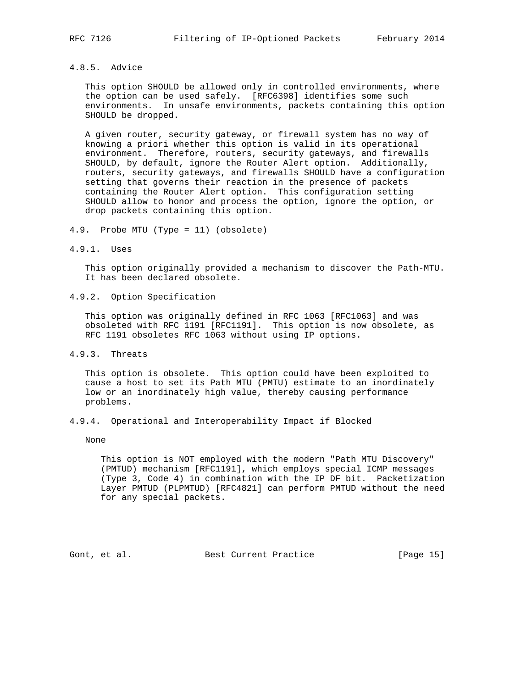## 4.8.5. Advice

 This option SHOULD be allowed only in controlled environments, where the option can be used safely. [RFC6398] identifies some such environments. In unsafe environments, packets containing this option SHOULD be dropped.

 A given router, security gateway, or firewall system has no way of knowing a priori whether this option is valid in its operational environment. Therefore, routers, security gateways, and firewalls SHOULD, by default, ignore the Router Alert option. Additionally, routers, security gateways, and firewalls SHOULD have a configuration setting that governs their reaction in the presence of packets containing the Router Alert option. This configuration setting SHOULD allow to honor and process the option, ignore the option, or drop packets containing this option.

- 4.9. Probe MTU (Type = 11) (obsolete)
- 4.9.1. Uses

 This option originally provided a mechanism to discover the Path-MTU. It has been declared obsolete.

4.9.2. Option Specification

 This option was originally defined in RFC 1063 [RFC1063] and was obsoleted with RFC 1191 [RFC1191]. This option is now obsolete, as RFC 1191 obsoletes RFC 1063 without using IP options.

4.9.3. Threats

 This option is obsolete. This option could have been exploited to cause a host to set its Path MTU (PMTU) estimate to an inordinately low or an inordinately high value, thereby causing performance problems.

4.9.4. Operational and Interoperability Impact if Blocked

None

 This option is NOT employed with the modern "Path MTU Discovery" (PMTUD) mechanism [RFC1191], which employs special ICMP messages (Type 3, Code 4) in combination with the IP DF bit. Packetization Layer PMTUD (PLPMTUD) [RFC4821] can perform PMTUD without the need for any special packets.

Gont, et al. Best Current Practice [Page 15]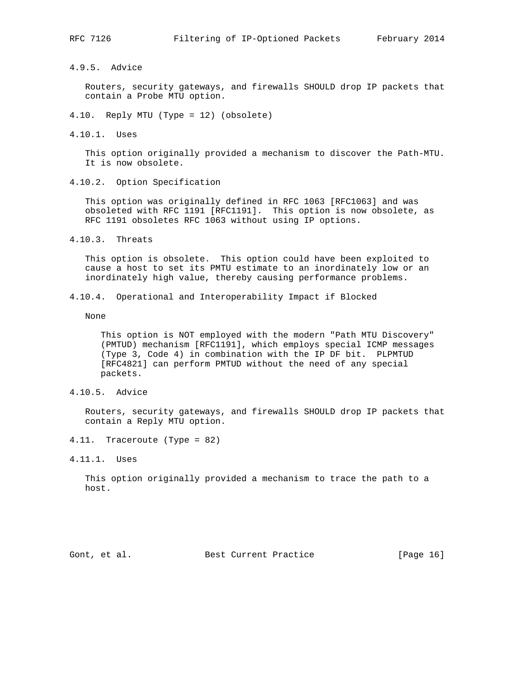4.9.5. Advice

 Routers, security gateways, and firewalls SHOULD drop IP packets that contain a Probe MTU option.

- 4.10. Reply MTU (Type = 12) (obsolete)
- 4.10.1. Uses

 This option originally provided a mechanism to discover the Path-MTU. It is now obsolete.

4.10.2. Option Specification

 This option was originally defined in RFC 1063 [RFC1063] and was obsoleted with RFC 1191 [RFC1191]. This option is now obsolete, as RFC 1191 obsoletes RFC 1063 without using IP options.

4.10.3. Threats

 This option is obsolete. This option could have been exploited to cause a host to set its PMTU estimate to an inordinately low or an inordinately high value, thereby causing performance problems.

4.10.4. Operational and Interoperability Impact if Blocked

None

 This option is NOT employed with the modern "Path MTU Discovery" (PMTUD) mechanism [RFC1191], which employs special ICMP messages (Type 3, Code 4) in combination with the IP DF bit. PLPMTUD [RFC4821] can perform PMTUD without the need of any special packets.

4.10.5. Advice

 Routers, security gateways, and firewalls SHOULD drop IP packets that contain a Reply MTU option.

- 4.11. Traceroute (Type = 82)
- 4.11.1. Uses

 This option originally provided a mechanism to trace the path to a host.

Gont, et al. Best Current Practice [Page 16]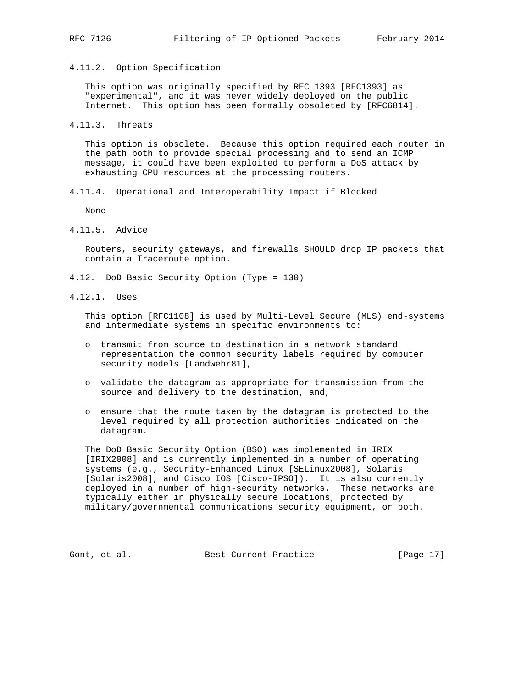4.11.2. Option Specification

 This option was originally specified by RFC 1393 [RFC1393] as "experimental", and it was never widely deployed on the public Internet. This option has been formally obsoleted by [RFC6814].

4.11.3. Threats

 This option is obsolete. Because this option required each router in the path both to provide special processing and to send an ICMP message, it could have been exploited to perform a DoS attack by exhausting CPU resources at the processing routers.

4.11.4. Operational and Interoperability Impact if Blocked

None

4.11.5. Advice

 Routers, security gateways, and firewalls SHOULD drop IP packets that contain a Traceroute option.

- 4.12. DoD Basic Security Option (Type = 130)
- 4.12.1. Uses

 This option [RFC1108] is used by Multi-Level Secure (MLS) end-systems and intermediate systems in specific environments to:

- o transmit from source to destination in a network standard representation the common security labels required by computer security models [Landwehr81],
- o validate the datagram as appropriate for transmission from the source and delivery to the destination, and,
- o ensure that the route taken by the datagram is protected to the level required by all protection authorities indicated on the datagram.

 The DoD Basic Security Option (BSO) was implemented in IRIX [IRIX2008] and is currently implemented in a number of operating systems (e.g., Security-Enhanced Linux [SELinux2008], Solaris [Solaris2008], and Cisco IOS [Cisco-IPSO]). It is also currently deployed in a number of high-security networks. These networks are typically either in physically secure locations, protected by military/governmental communications security equipment, or both.

Gont, et al. Best Current Practice [Page 17]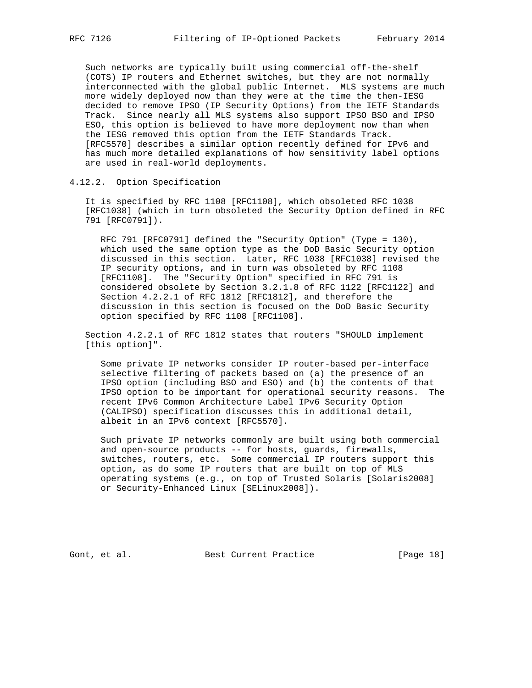Such networks are typically built using commercial off-the-shelf (COTS) IP routers and Ethernet switches, but they are not normally interconnected with the global public Internet. MLS systems are much more widely deployed now than they were at the time the then-IESG decided to remove IPSO (IP Security Options) from the IETF Standards Track. Since nearly all MLS systems also support IPSO BSO and IPSO ESO, this option is believed to have more deployment now than when the IESG removed this option from the IETF Standards Track. [RFC5570] describes a similar option recently defined for IPv6 and has much more detailed explanations of how sensitivity label options are used in real-world deployments.

4.12.2. Option Specification

 It is specified by RFC 1108 [RFC1108], which obsoleted RFC 1038 [RFC1038] (which in turn obsoleted the Security Option defined in RFC 791 [RFC0791]).

 RFC 791 [RFC0791] defined the "Security Option" (Type = 130), which used the same option type as the DoD Basic Security option discussed in this section. Later, RFC 1038 [RFC1038] revised the IP security options, and in turn was obsoleted by RFC 1108 [RFC1108]. The "Security Option" specified in RFC 791 is considered obsolete by Section 3.2.1.8 of RFC 1122 [RFC1122] and Section 4.2.2.1 of RFC 1812 [RFC1812], and therefore the discussion in this section is focused on the DoD Basic Security option specified by RFC 1108 [RFC1108].

 Section 4.2.2.1 of RFC 1812 states that routers "SHOULD implement [this option]".

 Some private IP networks consider IP router-based per-interface selective filtering of packets based on (a) the presence of an IPSO option (including BSO and ESO) and (b) the contents of that IPSO option to be important for operational security reasons. The recent IPv6 Common Architecture Label IPv6 Security Option (CALIPSO) specification discusses this in additional detail, albeit in an IPv6 context [RFC5570].

 Such private IP networks commonly are built using both commercial and open-source products -- for hosts, guards, firewalls, switches, routers, etc. Some commercial IP routers support this option, as do some IP routers that are built on top of MLS operating systems (e.g., on top of Trusted Solaris [Solaris2008] or Security-Enhanced Linux [SELinux2008]).

Gont, et al. Best Current Practice [Page 18]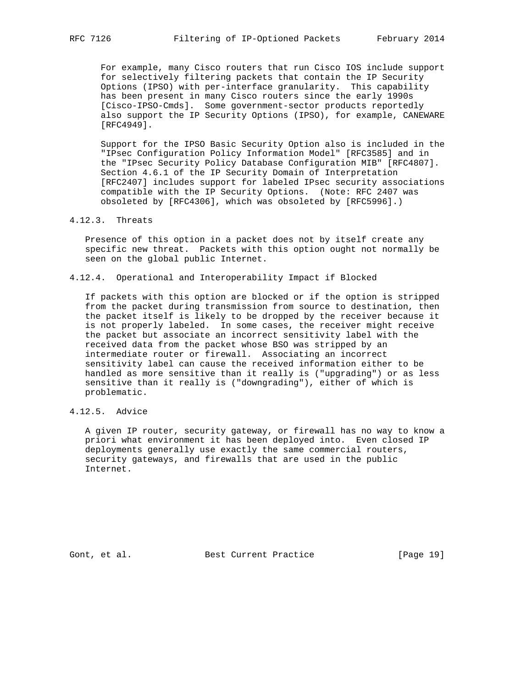For example, many Cisco routers that run Cisco IOS include support for selectively filtering packets that contain the IP Security Options (IPSO) with per-interface granularity. This capability has been present in many Cisco routers since the early 1990s [Cisco-IPSO-Cmds]. Some government-sector products reportedly also support the IP Security Options (IPSO), for example, CANEWARE [RFC4949].

 Support for the IPSO Basic Security Option also is included in the "IPsec Configuration Policy Information Model" [RFC3585] and in the "IPsec Security Policy Database Configuration MIB" [RFC4807]. Section 4.6.1 of the IP Security Domain of Interpretation [RFC2407] includes support for labeled IPsec security associations compatible with the IP Security Options. (Note: RFC 2407 was obsoleted by [RFC4306], which was obsoleted by [RFC5996].)

### 4.12.3. Threats

 Presence of this option in a packet does not by itself create any specific new threat. Packets with this option ought not normally be seen on the global public Internet.

4.12.4. Operational and Interoperability Impact if Blocked

 If packets with this option are blocked or if the option is stripped from the packet during transmission from source to destination, then the packet itself is likely to be dropped by the receiver because it is not properly labeled. In some cases, the receiver might receive the packet but associate an incorrect sensitivity label with the received data from the packet whose BSO was stripped by an intermediate router or firewall. Associating an incorrect sensitivity label can cause the received information either to be handled as more sensitive than it really is ("upgrading") or as less sensitive than it really is ("downgrading"), either of which is problematic.

# 4.12.5. Advice

 A given IP router, security gateway, or firewall has no way to know a priori what environment it has been deployed into. Even closed IP deployments generally use exactly the same commercial routers, security gateways, and firewalls that are used in the public Internet.

Gont, et al. Best Current Practice [Page 19]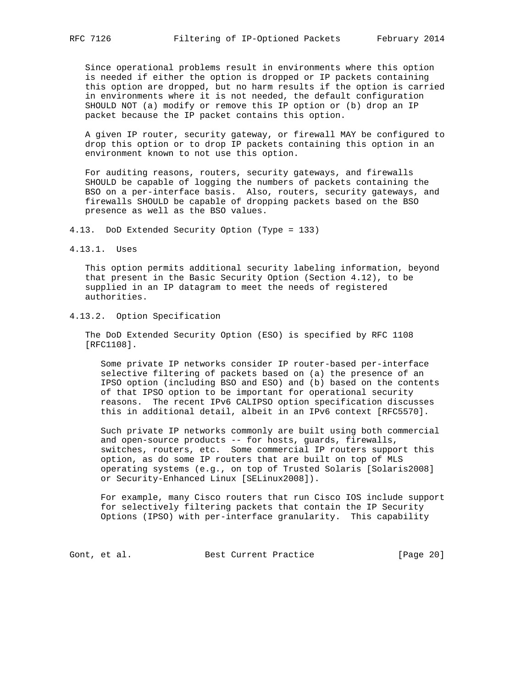Since operational problems result in environments where this option is needed if either the option is dropped or IP packets containing this option are dropped, but no harm results if the option is carried in environments where it is not needed, the default configuration SHOULD NOT (a) modify or remove this IP option or (b) drop an IP packet because the IP packet contains this option.

 A given IP router, security gateway, or firewall MAY be configured to drop this option or to drop IP packets containing this option in an environment known to not use this option.

 For auditing reasons, routers, security gateways, and firewalls SHOULD be capable of logging the numbers of packets containing the BSO on a per-interface basis. Also, routers, security gateways, and firewalls SHOULD be capable of dropping packets based on the BSO presence as well as the BSO values.

4.13. DoD Extended Security Option (Type = 133)

4.13.1. Uses

 This option permits additional security labeling information, beyond that present in the Basic Security Option (Section 4.12), to be supplied in an IP datagram to meet the needs of registered authorities.

4.13.2. Option Specification

 The DoD Extended Security Option (ESO) is specified by RFC 1108 [RFC1108].

 Some private IP networks consider IP router-based per-interface selective filtering of packets based on (a) the presence of an IPSO option (including BSO and ESO) and (b) based on the contents of that IPSO option to be important for operational security reasons. The recent IPv6 CALIPSO option specification discusses this in additional detail, albeit in an IPv6 context [RFC5570].

 Such private IP networks commonly are built using both commercial and open-source products -- for hosts, guards, firewalls, switches, routers, etc. Some commercial IP routers support this option, as do some IP routers that are built on top of MLS operating systems (e.g., on top of Trusted Solaris [Solaris2008] or Security-Enhanced Linux [SELinux2008]).

 For example, many Cisco routers that run Cisco IOS include support for selectively filtering packets that contain the IP Security Options (IPSO) with per-interface granularity. This capability

Gont, et al. Best Current Practice [Page 20]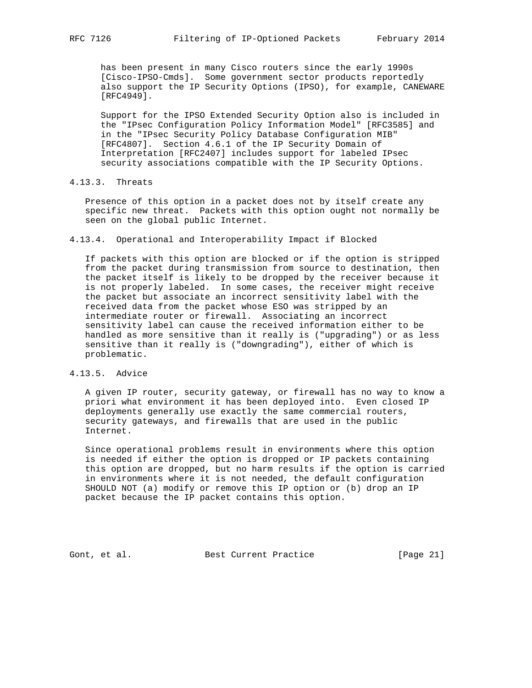has been present in many Cisco routers since the early 1990s [Cisco-IPSO-Cmds]. Some government sector products reportedly also support the IP Security Options (IPSO), for example, CANEWARE [RFC4949].

 Support for the IPSO Extended Security Option also is included in the "IPsec Configuration Policy Information Model" [RFC3585] and in the "IPsec Security Policy Database Configuration MIB" [RFC4807]. Section 4.6.1 of the IP Security Domain of Interpretation [RFC2407] includes support for labeled IPsec security associations compatible with the IP Security Options.

4.13.3. Threats

 Presence of this option in a packet does not by itself create any specific new threat. Packets with this option ought not normally be seen on the global public Internet.

4.13.4. Operational and Interoperability Impact if Blocked

 If packets with this option are blocked or if the option is stripped from the packet during transmission from source to destination, then the packet itself is likely to be dropped by the receiver because it is not properly labeled. In some cases, the receiver might receive the packet but associate an incorrect sensitivity label with the received data from the packet whose ESO was stripped by an intermediate router or firewall. Associating an incorrect sensitivity label can cause the received information either to be handled as more sensitive than it really is ("upgrading") or as less sensitive than it really is ("downgrading"), either of which is problematic.

4.13.5. Advice

 A given IP router, security gateway, or firewall has no way to know a priori what environment it has been deployed into. Even closed IP deployments generally use exactly the same commercial routers, security gateways, and firewalls that are used in the public Internet.

 Since operational problems result in environments where this option is needed if either the option is dropped or IP packets containing this option are dropped, but no harm results if the option is carried in environments where it is not needed, the default configuration SHOULD NOT (a) modify or remove this IP option or (b) drop an IP packet because the IP packet contains this option.

Gont, et al. Best Current Practice [Page 21]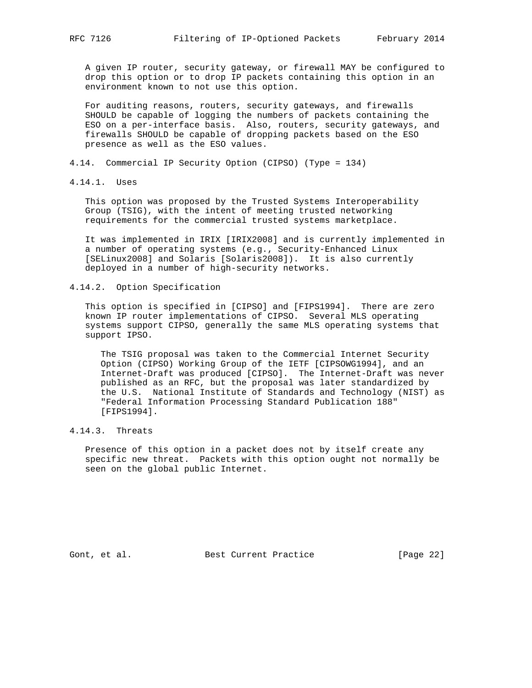A given IP router, security gateway, or firewall MAY be configured to drop this option or to drop IP packets containing this option in an environment known to not use this option.

 For auditing reasons, routers, security gateways, and firewalls SHOULD be capable of logging the numbers of packets containing the ESO on a per-interface basis. Also, routers, security gateways, and firewalls SHOULD be capable of dropping packets based on the ESO presence as well as the ESO values.

- 4.14. Commercial IP Security Option (CIPSO) (Type = 134)
- 4.14.1. Uses

 This option was proposed by the Trusted Systems Interoperability Group (TSIG), with the intent of meeting trusted networking requirements for the commercial trusted systems marketplace.

 It was implemented in IRIX [IRIX2008] and is currently implemented in a number of operating systems (e.g., Security-Enhanced Linux [SELinux2008] and Solaris [Solaris2008]). It is also currently deployed in a number of high-security networks.

4.14.2. Option Specification

 This option is specified in [CIPSO] and [FIPS1994]. There are zero known IP router implementations of CIPSO. Several MLS operating systems support CIPSO, generally the same MLS operating systems that support IPSO.

 The TSIG proposal was taken to the Commercial Internet Security Option (CIPSO) Working Group of the IETF [CIPSOWG1994], and an Internet-Draft was produced [CIPSO]. The Internet-Draft was never published as an RFC, but the proposal was later standardized by the U.S. National Institute of Standards and Technology (NIST) as "Federal Information Processing Standard Publication 188" [FIPS1994].

# 4.14.3. Threats

 Presence of this option in a packet does not by itself create any specific new threat. Packets with this option ought not normally be seen on the global public Internet.

Gont, et al. Best Current Practice [Page 22]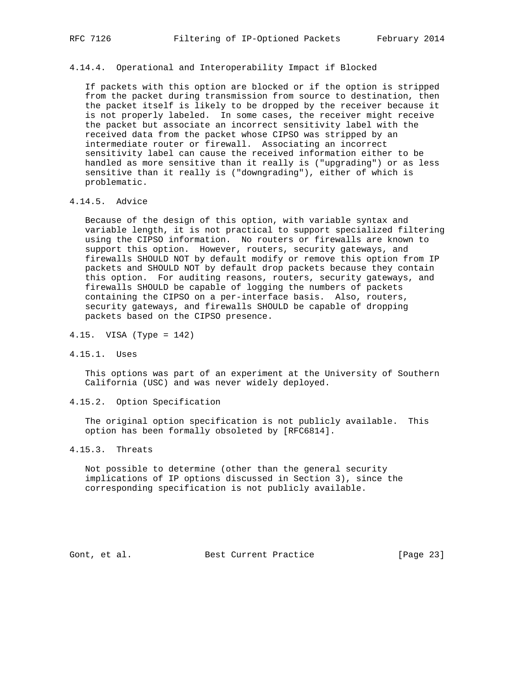4.14.4. Operational and Interoperability Impact if Blocked

 If packets with this option are blocked or if the option is stripped from the packet during transmission from source to destination, then the packet itself is likely to be dropped by the receiver because it is not properly labeled. In some cases, the receiver might receive the packet but associate an incorrect sensitivity label with the received data from the packet whose CIPSO was stripped by an intermediate router or firewall. Associating an incorrect sensitivity label can cause the received information either to be handled as more sensitive than it really is ("upgrading") or as less sensitive than it really is ("downgrading"), either of which is problematic.

## 4.14.5. Advice

 Because of the design of this option, with variable syntax and variable length, it is not practical to support specialized filtering using the CIPSO information. No routers or firewalls are known to support this option. However, routers, security gateways, and firewalls SHOULD NOT by default modify or remove this option from IP packets and SHOULD NOT by default drop packets because they contain this option. For auditing reasons, routers, security gateways, and firewalls SHOULD be capable of logging the numbers of packets containing the CIPSO on a per-interface basis. Also, routers, security gateways, and firewalls SHOULD be capable of dropping packets based on the CIPSO presence.

4.15. VISA (Type = 142)

4.15.1. Uses

 This options was part of an experiment at the University of Southern California (USC) and was never widely deployed.

### 4.15.2. Option Specification

 The original option specification is not publicly available. This option has been formally obsoleted by [RFC6814].

## 4.15.3. Threats

 Not possible to determine (other than the general security implications of IP options discussed in Section 3), since the corresponding specification is not publicly available.

Gont, et al. Best Current Practice [Page 23]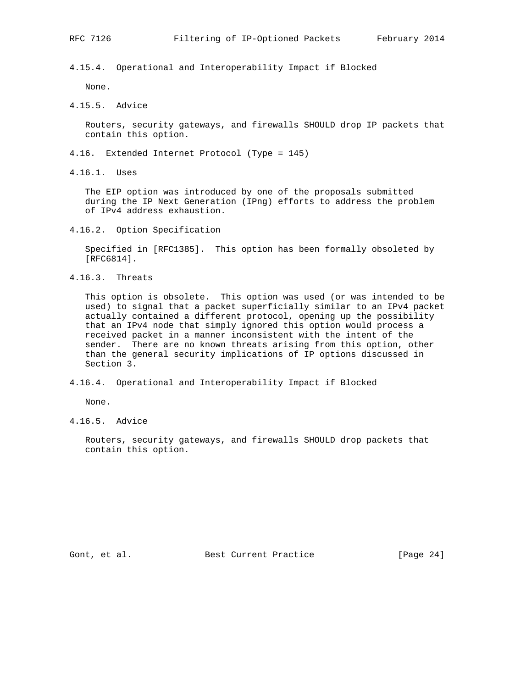4.15.4. Operational and Interoperability Impact if Blocked

None.

4.15.5. Advice

 Routers, security gateways, and firewalls SHOULD drop IP packets that contain this option.

- 4.16. Extended Internet Protocol (Type = 145)
- 4.16.1. Uses

 The EIP option was introduced by one of the proposals submitted during the IP Next Generation (IPng) efforts to address the problem of IPv4 address exhaustion.

4.16.2. Option Specification

 Specified in [RFC1385]. This option has been formally obsoleted by [RFC6814].

4.16.3. Threats

 This option is obsolete. This option was used (or was intended to be used) to signal that a packet superficially similar to an IPv4 packet actually contained a different protocol, opening up the possibility that an IPv4 node that simply ignored this option would process a received packet in a manner inconsistent with the intent of the sender. There are no known threats arising from this option, other than the general security implications of IP options discussed in Section 3.

4.16.4. Operational and Interoperability Impact if Blocked

None.

4.16.5. Advice

 Routers, security gateways, and firewalls SHOULD drop packets that contain this option.

Gont, et al. Best Current Practice [Page 24]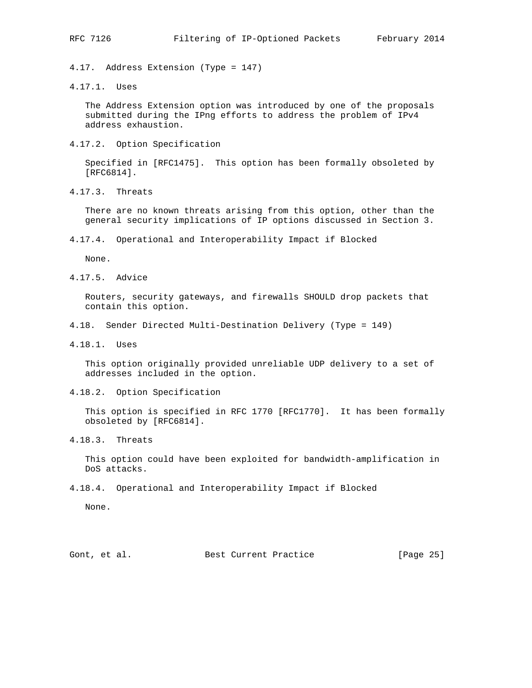4.17. Address Extension (Type = 147)

4.17.1. Uses

 The Address Extension option was introduced by one of the proposals submitted during the IPng efforts to address the problem of IPv4 address exhaustion.

4.17.2. Option Specification

 Specified in [RFC1475]. This option has been formally obsoleted by [RFC6814].

4.17.3. Threats

 There are no known threats arising from this option, other than the general security implications of IP options discussed in Section 3.

4.17.4. Operational and Interoperability Impact if Blocked

None.

4.17.5. Advice

 Routers, security gateways, and firewalls SHOULD drop packets that contain this option.

- 4.18. Sender Directed Multi-Destination Delivery (Type = 149)
- 4.18.1. Uses

 This option originally provided unreliable UDP delivery to a set of addresses included in the option.

4.18.2. Option Specification

 This option is specified in RFC 1770 [RFC1770]. It has been formally obsoleted by [RFC6814].

4.18.3. Threats

 This option could have been exploited for bandwidth-amplification in DoS attacks.

4.18.4. Operational and Interoperability Impact if Blocked

None.

Gont, et al. Best Current Practice [Page 25]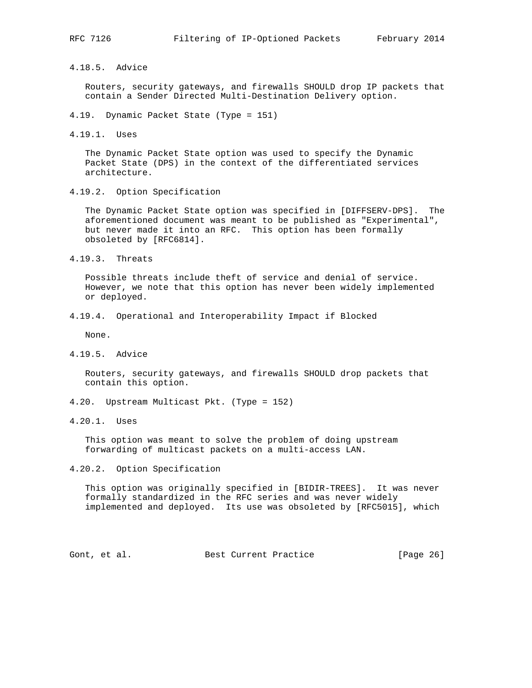4.18.5. Advice

 Routers, security gateways, and firewalls SHOULD drop IP packets that contain a Sender Directed Multi-Destination Delivery option.

- 4.19. Dynamic Packet State (Type = 151)
- 4.19.1. Uses

 The Dynamic Packet State option was used to specify the Dynamic Packet State (DPS) in the context of the differentiated services architecture.

4.19.2. Option Specification

 The Dynamic Packet State option was specified in [DIFFSERV-DPS]. The aforementioned document was meant to be published as "Experimental", but never made it into an RFC. This option has been formally obsoleted by [RFC6814].

4.19.3. Threats

 Possible threats include theft of service and denial of service. However, we note that this option has never been widely implemented or deployed.

4.19.4. Operational and Interoperability Impact if Blocked

None.

4.19.5. Advice

 Routers, security gateways, and firewalls SHOULD drop packets that contain this option.

- 4.20. Upstream Multicast Pkt. (Type = 152)
- 4.20.1. Uses

 This option was meant to solve the problem of doing upstream forwarding of multicast packets on a multi-access LAN.

4.20.2. Option Specification

 This option was originally specified in [BIDIR-TREES]. It was never formally standardized in the RFC series and was never widely implemented and deployed. Its use was obsoleted by [RFC5015], which

Gont, et al. Best Current Practice [Page 26]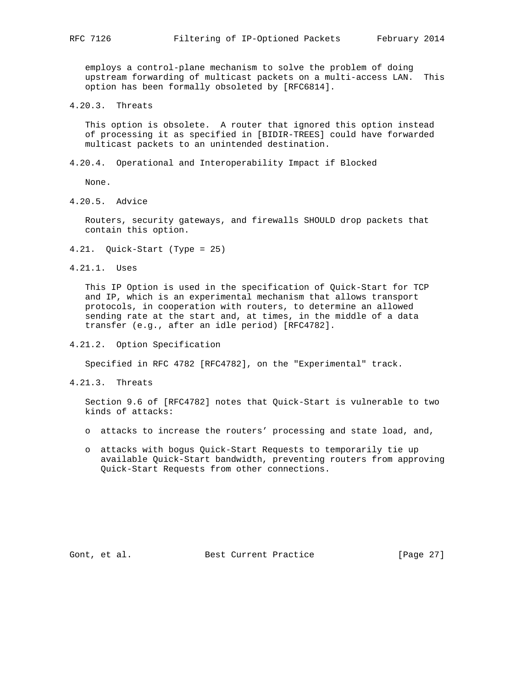employs a control-plane mechanism to solve the problem of doing upstream forwarding of multicast packets on a multi-access LAN. This option has been formally obsoleted by [RFC6814].

4.20.3. Threats

 This option is obsolete. A router that ignored this option instead of processing it as specified in [BIDIR-TREES] could have forwarded multicast packets to an unintended destination.

4.20.4. Operational and Interoperability Impact if Blocked

None.

4.20.5. Advice

 Routers, security gateways, and firewalls SHOULD drop packets that contain this option.

- 4.21. Quick-Start (Type = 25)
- 4.21.1. Uses

 This IP Option is used in the specification of Quick-Start for TCP and IP, which is an experimental mechanism that allows transport protocols, in cooperation with routers, to determine an allowed sending rate at the start and, at times, in the middle of a data transfer (e.g., after an idle period) [RFC4782].

4.21.2. Option Specification

Specified in RFC 4782 [RFC4782], on the "Experimental" track.

4.21.3. Threats

 Section 9.6 of [RFC4782] notes that Quick-Start is vulnerable to two kinds of attacks:

- o attacks to increase the routers' processing and state load, and,
- o attacks with bogus Quick-Start Requests to temporarily tie up available Quick-Start bandwidth, preventing routers from approving Quick-Start Requests from other connections.

Gont, et al. Best Current Practice [Page 27]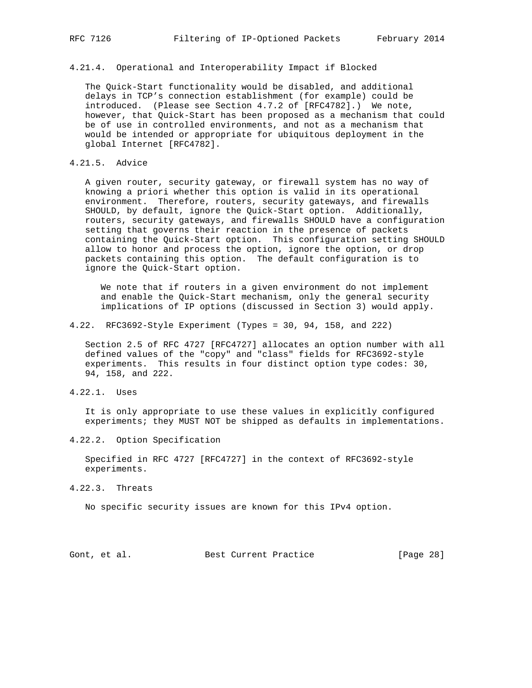# 4.21.4. Operational and Interoperability Impact if Blocked

 The Quick-Start functionality would be disabled, and additional delays in TCP's connection establishment (for example) could be introduced. (Please see Section 4.7.2 of [RFC4782].) We note, however, that Quick-Start has been proposed as a mechanism that could be of use in controlled environments, and not as a mechanism that would be intended or appropriate for ubiquitous deployment in the global Internet [RFC4782].

### 4.21.5. Advice

 A given router, security gateway, or firewall system has no way of knowing a priori whether this option is valid in its operational environment. Therefore, routers, security gateways, and firewalls SHOULD, by default, ignore the Quick-Start option. Additionally, routers, security gateways, and firewalls SHOULD have a configuration setting that governs their reaction in the presence of packets containing the Quick-Start option. This configuration setting SHOULD allow to honor and process the option, ignore the option, or drop packets containing this option. The default configuration is to ignore the Quick-Start option.

 We note that if routers in a given environment do not implement and enable the Quick-Start mechanism, only the general security implications of IP options (discussed in Section 3) would apply.

4.22. RFC3692-Style Experiment (Types = 30, 94, 158, and 222)

 Section 2.5 of RFC 4727 [RFC4727] allocates an option number with all defined values of the "copy" and "class" fields for RFC3692-style experiments. This results in four distinct option type codes: 30, 94, 158, and 222.

4.22.1. Uses

 It is only appropriate to use these values in explicitly configured experiments; they MUST NOT be shipped as defaults in implementations.

4.22.2. Option Specification

 Specified in RFC 4727 [RFC4727] in the context of RFC3692-style experiments.

4.22.3. Threats

No specific security issues are known for this IPv4 option.

Gont, et al. Best Current Practice [Page 28]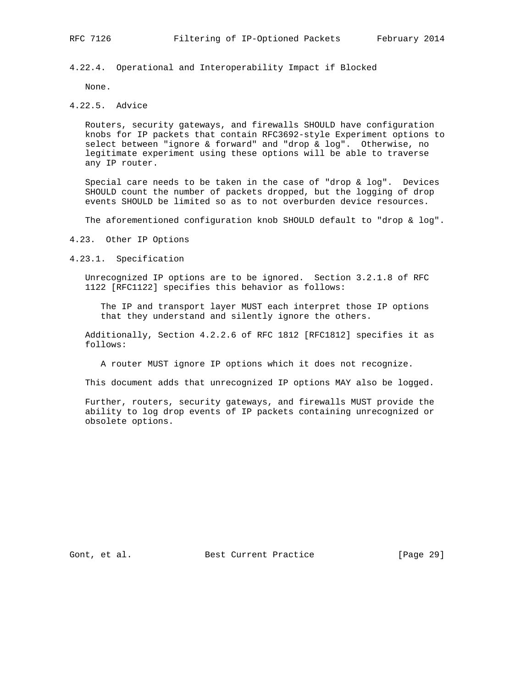4.22.4. Operational and Interoperability Impact if Blocked

None.

4.22.5. Advice

 Routers, security gateways, and firewalls SHOULD have configuration knobs for IP packets that contain RFC3692-style Experiment options to select between "ignore & forward" and "drop & log". Otherwise, no legitimate experiment using these options will be able to traverse any IP router.

 Special care needs to be taken in the case of "drop & log". Devices SHOULD count the number of packets dropped, but the logging of drop events SHOULD be limited so as to not overburden device resources.

The aforementioned configuration knob SHOULD default to "drop & log".

4.23. Other IP Options

4.23.1. Specification

 Unrecognized IP options are to be ignored. Section 3.2.1.8 of RFC 1122 [RFC1122] specifies this behavior as follows:

 The IP and transport layer MUST each interpret those IP options that they understand and silently ignore the others.

 Additionally, Section 4.2.2.6 of RFC 1812 [RFC1812] specifies it as follows:

A router MUST ignore IP options which it does not recognize.

This document adds that unrecognized IP options MAY also be logged.

 Further, routers, security gateways, and firewalls MUST provide the ability to log drop events of IP packets containing unrecognized or obsolete options.

Gont, et al. Best Current Practice [Page 29]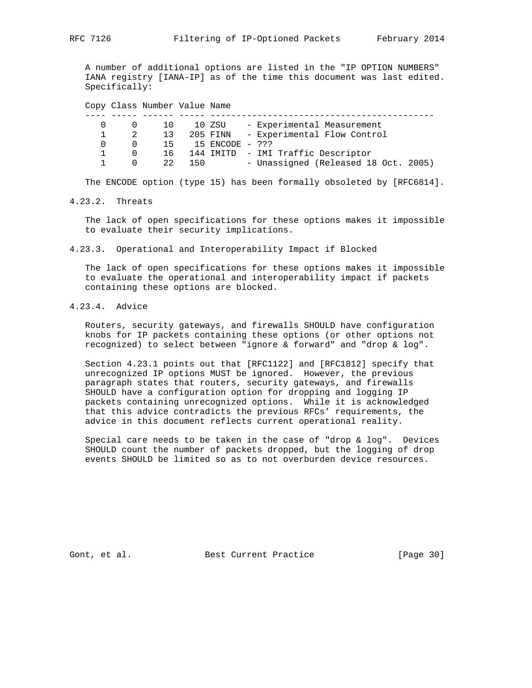A number of additional options are listed in the "IP OPTION NUMBERS" IANA registry [IANA-IP] as of the time this document was last edited. Specifically:

Copy Class Number Value Name

|  | $\begin{matrix} 0 & 0 \end{matrix}$ | 10 | 10 ZSU |                    | - Experimental Measurement            |
|--|-------------------------------------|----|--------|--------------------|---------------------------------------|
|  | $1 \quad 2$                         | 13 |        |                    | 205 FINN - Experimental Flow Control  |
|  | $\Omega$ $\Omega$                   |    |        | 15 15 ENCODE - ??? |                                       |
|  | $\cap$                              |    |        |                    | 16 144 IMITD - IMI Traffic Descriptor |
|  | $1 \quad \cdots$<br>$\cap$          |    | 22 150 |                    | - Unassigned (Released 18 Oct. 2005)  |

The ENCODE option (type 15) has been formally obsoleted by [RFC6814].

4.23.2. Threats

 The lack of open specifications for these options makes it impossible to evaluate their security implications.

4.23.3. Operational and Interoperability Impact if Blocked

 The lack of open specifications for these options makes it impossible to evaluate the operational and interoperability impact if packets containing these options are blocked.

4.23.4. Advice

 Routers, security gateways, and firewalls SHOULD have configuration knobs for IP packets containing these options (or other options not recognized) to select between "ignore & forward" and "drop & log".

 Section 4.23.1 points out that [RFC1122] and [RFC1812] specify that unrecognized IP options MUST be ignored. However, the previous paragraph states that routers, security gateways, and firewalls SHOULD have a configuration option for dropping and logging IP packets containing unrecognized options. While it is acknowledged that this advice contradicts the previous RFCs' requirements, the advice in this document reflects current operational reality.

 Special care needs to be taken in the case of "drop & log". Devices SHOULD count the number of packets dropped, but the logging of drop events SHOULD be limited so as to not overburden device resources.

Gont, et al. Best Current Practice [Page 30]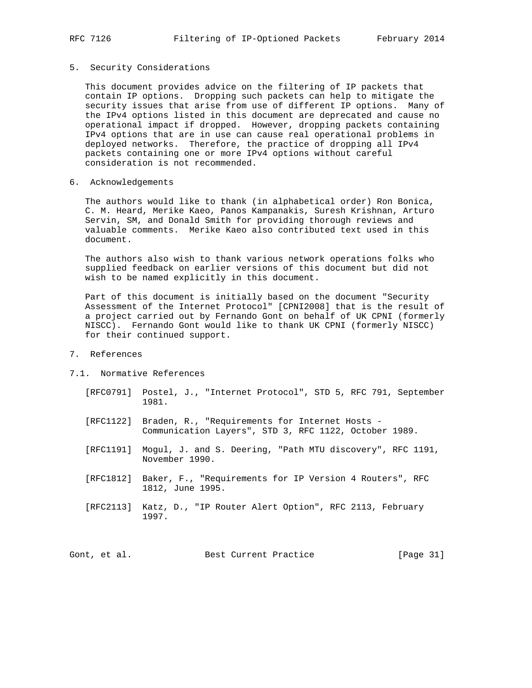### 5. Security Considerations

 This document provides advice on the filtering of IP packets that contain IP options. Dropping such packets can help to mitigate the security issues that arise from use of different IP options. Many of the IPv4 options listed in this document are deprecated and cause no operational impact if dropped. However, dropping packets containing IPv4 options that are in use can cause real operational problems in deployed networks. Therefore, the practice of dropping all IPv4 packets containing one or more IPv4 options without careful consideration is not recommended.

6. Acknowledgements

 The authors would like to thank (in alphabetical order) Ron Bonica, C. M. Heard, Merike Kaeo, Panos Kampanakis, Suresh Krishnan, Arturo Servin, SM, and Donald Smith for providing thorough reviews and valuable comments. Merike Kaeo also contributed text used in this document.

 The authors also wish to thank various network operations folks who supplied feedback on earlier versions of this document but did not wish to be named explicitly in this document.

 Part of this document is initially based on the document "Security Assessment of the Internet Protocol" [CPNI2008] that is the result of a project carried out by Fernando Gont on behalf of UK CPNI (formerly NISCC). Fernando Gont would like to thank UK CPNI (formerly NISCC) for their continued support.

## 7. References

### 7.1. Normative References

- [RFC0791] Postel, J., "Internet Protocol", STD 5, RFC 791, September 1981.
- [RFC1122] Braden, R., "Requirements for Internet Hosts Communication Layers", STD 3, RFC 1122, October 1989.
- [RFC1191] Mogul, J. and S. Deering, "Path MTU discovery", RFC 1191, November 1990.
- [RFC1812] Baker, F., "Requirements for IP Version 4 Routers", RFC 1812, June 1995.
- [RFC2113] Katz, D., "IP Router Alert Option", RFC 2113, February 1997.

Gont, et al. Best Current Practice [Page 31]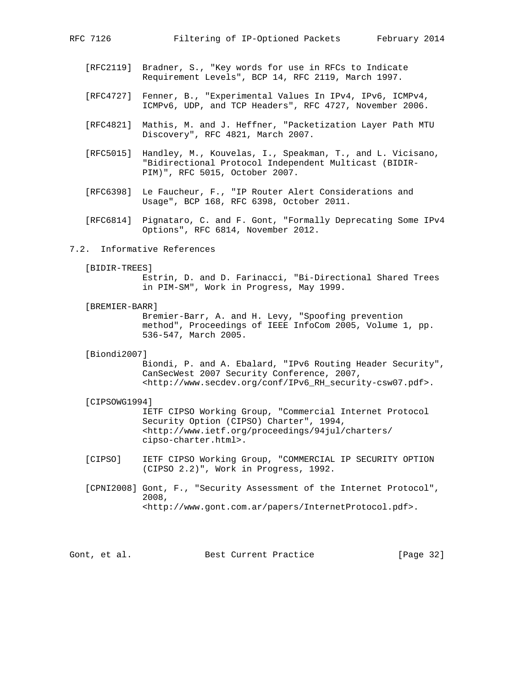- [RFC2119] Bradner, S., "Key words for use in RFCs to Indicate Requirement Levels", BCP 14, RFC 2119, March 1997.
- [RFC4727] Fenner, B., "Experimental Values In IPv4, IPv6, ICMPv4, ICMPv6, UDP, and TCP Headers", RFC 4727, November 2006.
- [RFC4821] Mathis, M. and J. Heffner, "Packetization Layer Path MTU Discovery", RFC 4821, March 2007.
- [RFC5015] Handley, M., Kouvelas, I., Speakman, T., and L. Vicisano, "Bidirectional Protocol Independent Multicast (BIDIR- PIM)", RFC 5015, October 2007.
- [RFC6398] Le Faucheur, F., "IP Router Alert Considerations and Usage", BCP 168, RFC 6398, October 2011.
- [RFC6814] Pignataro, C. and F. Gont, "Formally Deprecating Some IPv4 Options", RFC 6814, November 2012.

### 7.2. Informative References

[BIDIR-TREES]

 Estrin, D. and D. Farinacci, "Bi-Directional Shared Trees in PIM-SM", Work in Progress, May 1999.

[BREMIER-BARR]

 Bremier-Barr, A. and H. Levy, "Spoofing prevention method", Proceedings of IEEE InfoCom 2005, Volume 1, pp. 536-547, March 2005.

[Biondi2007]

 Biondi, P. and A. Ebalard, "IPv6 Routing Header Security", CanSecWest 2007 Security Conference, 2007, <http://www.secdev.org/conf/IPv6\_RH\_security-csw07.pdf>.

[CIPSOWG1994]

 IETF CIPSO Working Group, "Commercial Internet Protocol Security Option (CIPSO) Charter", 1994, <http://www.ietf.org/proceedings/94jul/charters/ cipso-charter.html>.

- [CIPSO] IETF CIPSO Working Group, "COMMERCIAL IP SECURITY OPTION (CIPSO 2.2)", Work in Progress, 1992.
- [CPNI2008] Gont, F., "Security Assessment of the Internet Protocol", 2008, <http://www.gont.com.ar/papers/InternetProtocol.pdf>.

Gont, et al. Best Current Practice [Page 32]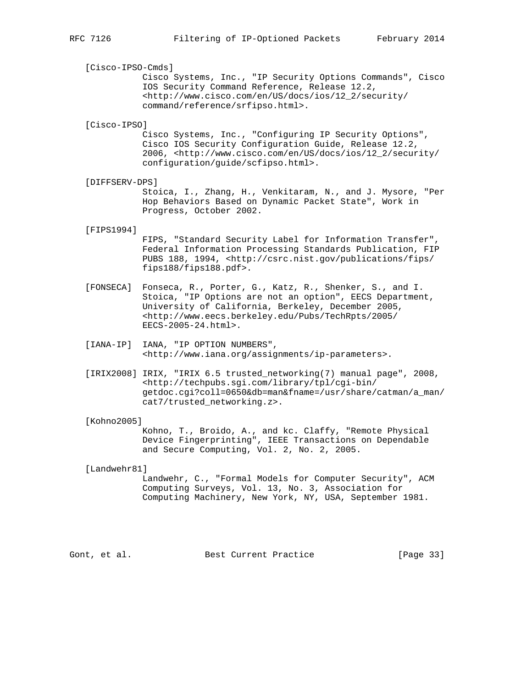[Cisco-IPSO-Cmds]

 Cisco Systems, Inc., "IP Security Options Commands", Cisco IOS Security Command Reference, Release 12.2, <http://www.cisco.com/en/US/docs/ios/12\_2/security/ command/reference/srfipso.html>.

[Cisco-IPSO]

 Cisco Systems, Inc., "Configuring IP Security Options", Cisco IOS Security Configuration Guide, Release 12.2, 2006, <http://www.cisco.com/en/US/docs/ios/12\_2/security/ configuration/guide/scfipso.html>.

[DIFFSERV-DPS]

 Stoica, I., Zhang, H., Venkitaram, N., and J. Mysore, "Per Hop Behaviors Based on Dynamic Packet State", Work in Progress, October 2002.

[FIPS1994]

 FIPS, "Standard Security Label for Information Transfer", Federal Information Processing Standards Publication, FIP PUBS 188, 1994, <http://csrc.nist.gov/publications/fips/ fips188/fips188.pdf>.

- [FONSECA] Fonseca, R., Porter, G., Katz, R., Shenker, S., and I. Stoica, "IP Options are not an option", EECS Department, University of California, Berkeley, December 2005, <http://www.eecs.berkeley.edu/Pubs/TechRpts/2005/ EECS-2005-24.html>.
- [IANA-IP] IANA, "IP OPTION NUMBERS", <http://www.iana.org/assignments/ip-parameters>.
- [IRIX2008] IRIX, "IRIX 6.5 trusted\_networking(7) manual page", 2008, <http://techpubs.sgi.com/library/tpl/cgi-bin/ getdoc.cgi?coll=0650&db=man&fname=/usr/share/catman/a\_man/ cat7/trusted\_networking.z>.

#### [Kohno2005]

 Kohno, T., Broido, A., and kc. Claffy, "Remote Physical Device Fingerprinting", IEEE Transactions on Dependable and Secure Computing, Vol. 2, No. 2, 2005.

[Landwehr81]

 Landwehr, C., "Formal Models for Computer Security", ACM Computing Surveys, Vol. 13, No. 3, Association for Computing Machinery, New York, NY, USA, September 1981.

Gont, et al. Best Current Practice [Page 33]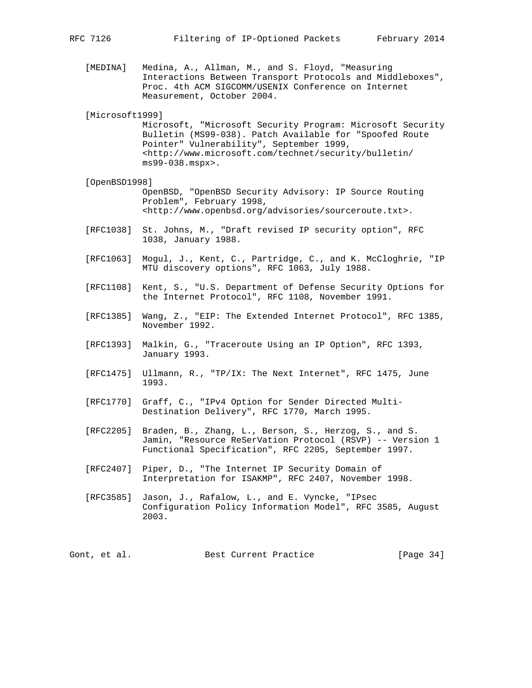[MEDINA] Medina, A., Allman, M., and S. Floyd, "Measuring Interactions Between Transport Protocols and Middleboxes", Proc. 4th ACM SIGCOMM/USENIX Conference on Internet Measurement, October 2004.

[Microsoft1999]

 Microsoft, "Microsoft Security Program: Microsoft Security Bulletin (MS99-038). Patch Available for "Spoofed Route Pointer" Vulnerability", September 1999, <http://www.microsoft.com/technet/security/bulletin/ ms99-038.mspx>.

### [OpenBSD1998]

 OpenBSD, "OpenBSD Security Advisory: IP Source Routing Problem", February 1998, <http://www.openbsd.org/advisories/sourceroute.txt>.

- [RFC1038] St. Johns, M., "Draft revised IP security option", RFC 1038, January 1988.
- [RFC1063] Mogul, J., Kent, C., Partridge, C., and K. McCloghrie, "IP MTU discovery options", RFC 1063, July 1988.
- [RFC1108] Kent, S., "U.S. Department of Defense Security Options for the Internet Protocol", RFC 1108, November 1991.
- [RFC1385] Wang, Z., "EIP: The Extended Internet Protocol", RFC 1385, November 1992.
- [RFC1393] Malkin, G., "Traceroute Using an IP Option", RFC 1393, January 1993.
- [RFC1475] Ullmann, R., "TP/IX: The Next Internet", RFC 1475, June 1993.
- [RFC1770] Graff, C., "IPv4 Option for Sender Directed Multi- Destination Delivery", RFC 1770, March 1995.
- [RFC2205] Braden, B., Zhang, L., Berson, S., Herzog, S., and S. Jamin, "Resource ReSerVation Protocol (RSVP) -- Version 1 Functional Specification", RFC 2205, September 1997.
- [RFC2407] Piper, D., "The Internet IP Security Domain of Interpretation for ISAKMP", RFC 2407, November 1998.
- [RFC3585] Jason, J., Rafalow, L., and E. Vyncke, "IPsec Configuration Policy Information Model", RFC 3585, August 2003.

Gont, et al. Best Current Practice [Page 34]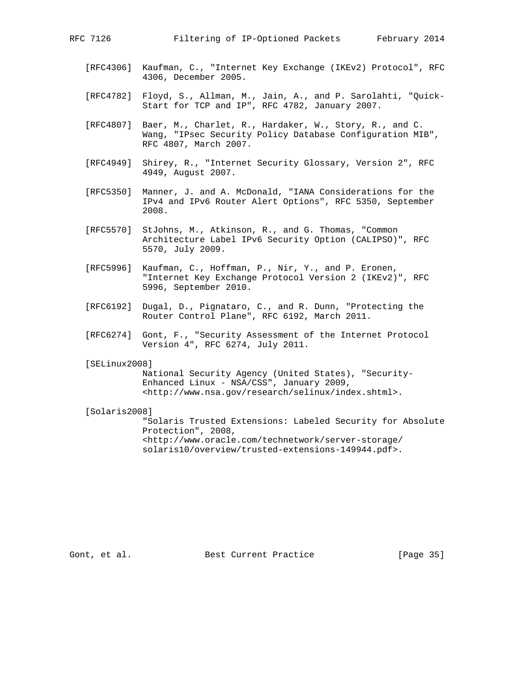- [RFC4306] Kaufman, C., "Internet Key Exchange (IKEv2) Protocol", RFC 4306, December 2005.
- [RFC4782] Floyd, S., Allman, M., Jain, A., and P. Sarolahti, "Quick- Start for TCP and IP", RFC 4782, January 2007.
- [RFC4807] Baer, M., Charlet, R., Hardaker, W., Story, R., and C. Wang, "IPsec Security Policy Database Configuration MIB", RFC 4807, March 2007.
- [RFC4949] Shirey, R., "Internet Security Glossary, Version 2", RFC 4949, August 2007.
- [RFC5350] Manner, J. and A. McDonald, "IANA Considerations for the IPv4 and IPv6 Router Alert Options", RFC 5350, September 2008.
- [RFC5570] StJohns, M., Atkinson, R., and G. Thomas, "Common Architecture Label IPv6 Security Option (CALIPSO)", RFC 5570, July 2009.
- [RFC5996] Kaufman, C., Hoffman, P., Nir, Y., and P. Eronen, "Internet Key Exchange Protocol Version 2 (IKEv2)", RFC 5996, September 2010.
- [RFC6192] Dugal, D., Pignataro, C., and R. Dunn, "Protecting the Router Control Plane", RFC 6192, March 2011.
- [RFC6274] Gont, F., "Security Assessment of the Internet Protocol Version 4", RFC 6274, July 2011.

#### [SELinux2008]

 National Security Agency (United States), "Security- Enhanced Linux - NSA/CSS", January 2009, <http://www.nsa.gov/research/selinux/index.shtml>.

### [Solaris2008]

 "Solaris Trusted Extensions: Labeled Security for Absolute Protection", 2008, <http://www.oracle.com/technetwork/server-storage/ solaris10/overview/trusted-extensions-149944.pdf>.

Gont, et al. Sest Current Practice [Page 35]